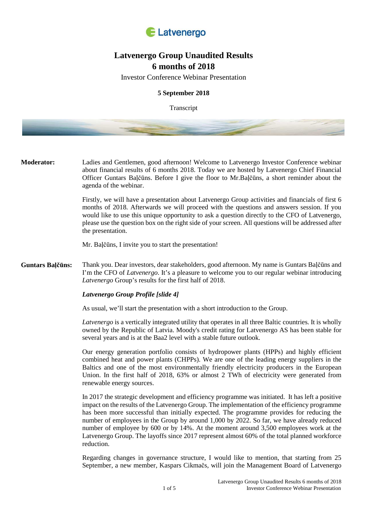

# **Latvenergo Group Unaudited Results 6 months of 2018**

Investor Conference Webinar Presentation

# **5 September 2018**

**Transcript** 

**Moderator:** Ladies and Gentlemen, good afternoon! Welcome to Latvenergo Investor Conference webinar about financial results of 6 months 2018. Today we are hosted by Latvenergo Chief Financial Officer Guntars Baļčūns. Before I give the floor to Mr.Baļčūns, a short reminder about the agenda of the webinar.

> Firstly, we will have a presentation about Latvenergo Group activities and financials of first 6 months of 2018. Afterwards we will proceed with the questions and answers session. If you would like to use this unique opportunity to ask a question directly to the CFO of Latvenergo, please use the question box on the right side of your screen. All questions will be addressed after the presentation.

Mr. Baļčūns, I invite you to start the presentation!

**Guntars Baļčūns:** Thank you. Dear investors, dear stakeholders, good afternoon. My name is Guntars Baļčūns and I'm the CFO of *Latvenergo*. It's a pleasure to welcome you to our regular webinar introducing *Latvenergo* Group's results for the first half of 2018.

#### *Latvenergo Group Profile [slide 4]*

As usual, we'll start the presentation with a short introduction to the Group.

*Latvenergo* is a vertically integrated utility that operates in all three Baltic countries. It is wholly owned by the Republic of Latvia. Moody's credit rating for Latvenergo AS has been stable for several years and is at the Baa2 level with a stable future outlook.

Our energy generation portfolio consists of hydropower plants (HPPs) and highly efficient combined heat and power plants (CHPPs). We are one of the leading energy suppliers in the Baltics and one of the most environmentally friendly electricity producers in the European Union. In the first half of 2018, 63% or almost 2 TWh of electricity were generated from renewable energy sources.

In 2017 the strategic development and efficiency programme was initiated. It has left a positive impact on the results of the Latvenergo Group. The implementation of the efficiency programme has been more successful than initially expected. The programme provides for reducing the number of employees in the Group by around 1,000 by 2022. So far, we have already reduced number of employee by 600 or by 14%. At the moment around 3,500 employees work at the Latvenergo Group. The layoffs since 2017 represent almost 60% of the total planned workforce reduction.

Regarding changes in governance structure, I would like to mention, that starting from 25 September, a new member, Kaspars Cikmačs, will join the Management Board of Latvenergo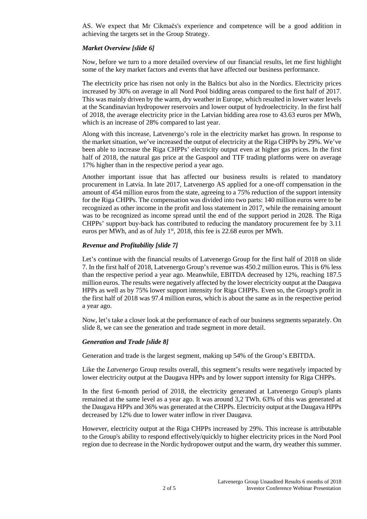AS. We expect that Mr Cikmačs's experience and competence will be a good addition in achieving the targets set in the Group Strategy.

## *Market Overview [slide 6]*

Now, before we turn to a more detailed overview of our financial results, let me first highlight some of the key market factors and events that have affected our business performance.

The electricity price has risen not only in the Baltics but also in the Nordics. Electricity prices increased by 30% on average in all Nord Pool bidding areas compared to the first half of 2017. This was mainly driven by the warm, dry weather in Europe, which resulted in lower water levels at the Scandinavian hydropower reservoirs and lower output of hydroelectricity. In the first half of 2018, the average electricity price in the Latvian bidding area rose to 43.63 euros per MWh, which is an increase of 28% compared to last year.

Along with this increase, Latvenergo's role in the electricity market has grown. In response to the market situation, we've increased the output of electricity at the Riga CHPPs by 29%. We've been able to increase the Riga CHPPs' electricity output even at higher gas prices. In the first half of 2018, the natural gas price at the Gaspool and TTF trading platforms were on average 17% higher than in the respective period a year ago.

Another important issue that has affected our business results is related to mandatory procurement in Latvia. In late 2017, Latvenergo AS applied for a one-off compensation in the amount of 454 million euros from the state, agreeing to a 75% reduction of the support intensity for the Riga CHPPs. The compensation was divided into two parts: 140 million euros were to be recognized as other income in the profit and loss statement in 2017, while the remaining amount was to be recognized as income spread until the end of the support period in 2028. The Riga CHPPs' support buy-back has contributed to reducing the mandatory procurement fee by 3.11 euros per MWh, and as of July  $1<sup>st</sup>$ , 2018, this fee is 22.68 euros per MWh.

## *Revenue and Profitability [slide 7]*

Let's continue with the financial results of Latvenergo Group for the first half of 2018 on slide 7. In the first half of 2018, Latvenergo Group's revenue was 450.2 million euros. This is 6% less than the respective period a year ago. Meanwhile, EBITDA decreased by 12%, reaching 187.5 million euros. The results were negatively affected by the lower electricity output at the Daugava HPPs as well as by 75% lower support intensity for Riga CHPPs. Even so, the Group's profit in the first half of 2018 was 97.4 million euros, which is about the same as in the respective period a year ago.

Now, let's take a closer look at the performance of each of our business segments separately. On slide 8, we can see the generation and trade segment in more detail.

## *Generation and Trade [slide 8]*

Generation and trade is the largest segment, making up 54% of the Group's EBITDA.

Like the *Latvenergo* Group results overall, this segment's results were negatively impacted by lower electricity output at the Daugava HPPs and by lower support intensity for Riga CHPPs.

In the first 6-month period of 2018, the electricity generated at Latvenergo Group's plants remained at the same level as a year ago. It was around 3,2 TWh. 63% of this was generated at the Daugava HPPs and 36% was generated at the CHPPs. Electricity output at the Daugava HPPs decreased by 12% due to lower water inflow in river Daugava.

However, electricity output at the Riga CHPPs increased by 29%. This increase is attributable to the Group's ability to respond effectively/quickly to higher electricity prices in the Nord Pool region due to decrease in the Nordic hydropower output and the warm, dry weather this summer.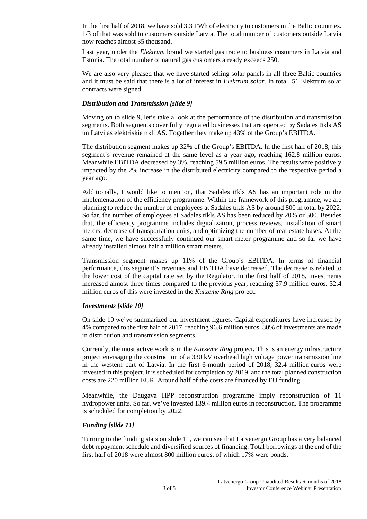In the first half of 2018, we have sold 3.3 TWh of electricity to customers in the Baltic countries. 1/3 of that was sold to customers outside Latvia. The total number of customers outside Latvia now reaches almost 35 thousand.

Last year, under the *Elektrum* brand we started gas trade to business customers in Latvia and Estonia. The total number of natural gas customers already exceeds 250.

We are also very pleased that we have started selling solar panels in all three Baltic countries and it must be said that there is a lot of interest in *Elektrum solar*. In total, 51 Elektrum solar contracts were signed.

#### *Distribution and Transmission [slide 9]*

Moving on to slide 9, let's take a look at the performance of the distribution and transmission segments. Both segments cover fully regulated businesses that are operated by Sadales tīkls AS un Latvijas elektriskie tīkli AS. Together they make up 43% of the Group's EBITDA.

The distribution segment makes up 32% of the Group's EBITDA. In the first half of 2018, this segment's revenue remained at the same level as a year ago, reaching 162.8 million euros. Meanwhile EBITDA decreased by 3%, reaching 59.5 million euros. The results were positively impacted by the 2% increase in the distributed electricity compared to the respective period a year ago.

Additionally, I would like to mention, that Sadales tīkls AS has an important role in the implementation of the efficiency programme. Within the framework of this programme, we are planning to reduce the number of employees at Sadales tīkls AS by around 800 in total by 2022. So far, the number of employees at Sadales tīkls AS has been reduced by 20% or 500. Besides that, the efficiency programme includes digitalization, process reviews, installation of smart meters, decrease of transportation units, and optimizing the number of real estate bases. At the same time, we have successfully continued our smart meter programme and so far we have already installed almost half a million smart meters.

Transmission segment makes up 11% of the Group's EBITDA. In terms of financial performance, this segment's revenues and EBITDA have decreased. The decrease is related to the lower cost of the capital rate set by the Regulator. In the first half of 2018, investments increased almost three times compared to the previous year, reaching 37.9 million euros. 32.4 million euros of this were invested in the *Kurzeme Ring* project.

#### *Investments [slide 10]*

On slide 10 we've summarized our investment figures. Capital expenditures have increased by 4% compared to the first half of 2017, reaching 96.6 million euros. 80% of investments are made in distribution and transmission segments.

Currently, the most active work is in the *Kurzeme Ring* project. This is an energy infrastructure project envisaging the construction of a 330 kV overhead high voltage power transmission line in the western part of Latvia. In the first 6-month period of 2018, 32.4 million euros were invested in this project. It is scheduled for completion by 2019, and the total planned construction costs are 220 million EUR. Around half of the costs are financed by EU funding.

Meanwhile, the Daugava HPP reconstruction programme imply reconstruction of 11 hydropower units. So far, we've invested 139.4 million euros in reconstruction. The programme is scheduled for completion by 2022.

## *Funding [slide 11]*

Turning to the funding stats on slide 11, we can see that Latvenergo Group has a very balanced debt repayment schedule and diversified sources of financing. Total borrowings at the end of the first half of 2018 were almost 800 million euros, of which 17% were bonds.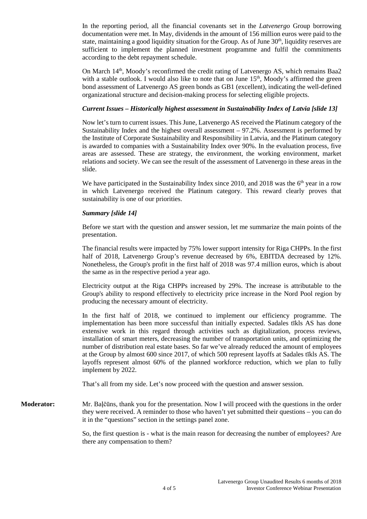In the reporting period, all the financial covenants set in the *Latvenergo* Group borrowing documentation were met. In May, dividends in the amount of 156 million euros were paid to the state, maintaining a good liquidity situation for the Group. As of June 30<sup>th</sup>, liquidity reserves are sufficient to implement the planned investment programme and fulfil the commitments according to the debt repayment schedule.

On March  $14<sup>th</sup>$ , Moody's reconfirmed the credit rating of Latvenergo AS, which remains Baa2 with a stable outlook. I would also like to note that on June  $15<sup>th</sup>$ , Moody's affirmed the green bond assessment of Latvenergo AS green bonds as GB1 (excellent), indicating the well-defined organizational structure and decision-making process for selecting eligible projects.

## *Current Issues – Historically highest assessment in Sustainability Index of Latvia [slide 13]*

Now let's turn to current issues. This June, Latvenergo AS received the Platinum category of the Sustainability Index and the highest overall assessment – 97.2%. Assessment is performed by the Institute of Corporate Sustainability and Responsibility in Latvia, and the Platinum category is awarded to companies with a Sustainability Index over 90%. In the evaluation process, five areas are assessed. These are strategy, the environment, the working environment, market relations and society. We can see the result of the assessment of Latvenergo in these areas in the slide.

We have participated in the Sustainability Index since 2010, and 2018 was the  $6<sup>th</sup>$  year in a row in which Latvenergo received the Platinum category. This reward clearly proves that sustainability is one of our priorities.

## *Summary [slide 14]*

Before we start with the question and answer session, let me summarize the main points of the presentation.

The financial results were impacted by 75% lower support intensity for Riga CHPPs. In the first half of 2018, Latvenergo Group's revenue decreased by 6%, EBITDA decreased by 12%. Nonetheless, the Group's profit in the first half of 2018 was 97.4 million euros, which is about the same as in the respective period a year ago.

Electricity output at the Riga CHPPs increased by 29%. The increase is attributable to the Group's ability to respond effectively to electricity price increase in the Nord Pool region by producing the necessary amount of electricity.

In the first half of 2018, we continued to implement our efficiency programme. The implementation has been more successful than initially expected. Sadales tīkls AS has done extensive work in this regard through activities such as digitalization, process reviews, installation of smart meters, decreasing the number of transportation units, and optimizing the number of distribution real estate bases. So far we've already reduced the amount of employees at the Group by almost 600 since 2017, of which 500 represent layoffs at Sadales tīkls AS. The layoffs represent almost 60% of the planned workforce reduction, which we plan to fully implement by 2022.

That's all from my side. Let's now proceed with the question and answer session.

**Moderator:** Mr. Baļčūns, thank you for the presentation. Now I will proceed with the questions in the order they were received. A reminder to those who haven't yet submitted their questions – you can do it in the "questions" section in the settings panel zone.

> So, the first question is - what is the main reason for decreasing the number of employees? Are there any compensation to them?